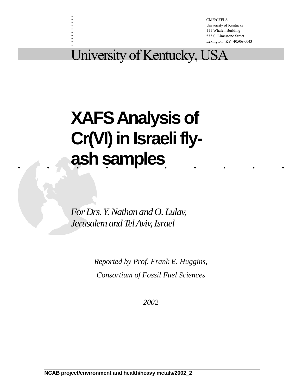CME/CFFLS University of Kentucky 111 Whalen Building 533 S. Limestone Street Lexington, KY 40506-0043

# University of Kentucky, USA

. . :<br>: :<br>: :<br>: . :<br>: :<br>: :<br>: :<br>:

# .......... **ash samples XAFS Analysis of Cr(VI) in Israeli fly-**

*For Drs. Y. Nathan and O. Lulav, Jerusalem and Tel Aviv, Israel*

> *Reported by Prof. Frank E. Huggins, Consortium of Fossil Fuel Sciences*

> > *2002*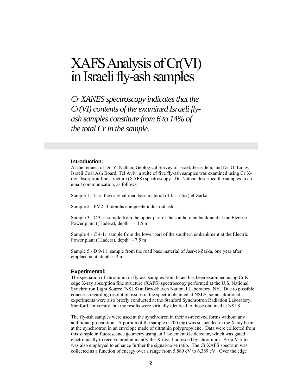# XAFS Analysis of Cr(VI) in Israeli fly-ash samples

*Cr XANES spectroscopy indicates that the Cr(VI) contents of the examined Israeli flyash samples constitute from 6 to 14% of the total Cr in the sample.* 

### **Introduction:**

At the request of Dr. Y. Nathan, Geological Survey of Israel, Jerusalem, and Dr. O. Lulav, Israeli Coal Ash Board, Tel Aviv, a suite of five fly-ash samples was examined using Cr Xray absorption fine structure (XAFS) spectroscopy. Dr. Nathan described the samples in an email communication, as follows:

Sample 1 - Jasr: the original road base material of Jasr (Jisr) el-Zarka

Sample 2 - FM2: 3 months composite industrial ash

Sample 3 - C 3-5: sample from the upper part of the southern embankment at the Electric Power plant ((Hadera), depth  $1 - 1.5$  m

Sample 4 - C 4-1: sample from the lower part of the southern embankment at the Electric Power plant ((Hadera), depth  $\sim$  7.5 m

Sample 5 - D 9-11: sample from the road base material of Jasr-el-Zarka, one year after emplacement, depth  $\sim$  2 m

#### **Experimental:**

The speciation of chromium in fly-ash samples from Israel has been examined using Cr Kedge X-ray absorption fine structure (XAFS) spectroscopy performed at the U.S. National Synchrotron Light Source (NSLS) at Brookhaven National Laboratory, NY. Due to possible concerns regarding resolution issues in the spectra obtained at NSLS, some additional experiments were also briefly conducted at the Stanford Synchrotron Radiation Laboratory, Stanford University, but the results were virtually identical to those obtained at NSLS.

The fly-ash samples were used at the synchrotron in their as-received forms without any additional preparation. A portion of the sample  $\left(\sim 200 \text{ mg}\right)$  was suspended in the X-ray beam at the synchrotron in an envelope made of ultrathin polypropylene. Data were collected from this sample in fluorescence geometry using an 11-element Ge detector, which was gated electronically to receive predominantly the X-rays fluoresced by chromium. A  $6\mu$  V filter was also employed to enhance further the signal/noise ratio. The Cr XAFS spectrum was collected as a function of energy over a range from 5,889 eV to 6,389 eV. Over the edge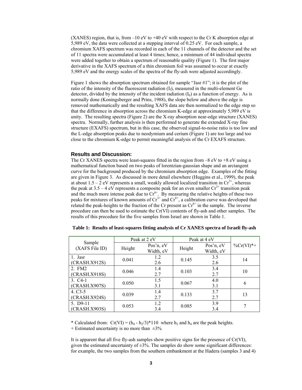(XANES) region, that is, from  $-10$  eV to  $+40$  eV with respect to the Cr K absorption edge at 5,989 eV, the data were collected at a stepping interval of 0.25 eV. For each sample, a chromium XAFS spectrum was recorded in each of the 11 channels of the detector and the set of 11 spectra were accumulated at least 4 times; hence, a minimum of 44 individual spectra were added together to obtain a spectrum of reasonable quality (Figure 1). The first major derivative in the XAFS spectrum of a thin chromium foil was assumed to occur at exactly 5,989 eV and the energy scales of the spectra of the fly-ash were adjusted accordingly.

Figure 1 shows the absorption spectrum obtained for sample "Jasr #1"; it is the plot of the ratio of the intensity of the fluorescent radiation  $(I_f)$ , measured in the multi-element Ge detector, divided by the intensity of the incident radiation  $(I_0)$  as a function of energy. As is normally done (Koningsberger and Prins, 1988), the slope below and above the edge is removed mathematically and the resulting XAFS data are then normalized to the edge step so that the difference in absorption across the chromium K-edge at approximately 5,989 eV is unity. The resulting spectra (Figure 2) are the X-ray absorption near-edge structure (XANES) spectra. Normally, further analysis is then performed to generate the extended X-ray fine structure (EXAFS) spectrum, but in this case, the observed signal-to-noise ratio is too low and the L-edge absorption peaks due to neodymium and cerium (Figure 1) are too large and too close to the chromium K-edge to permit meaningful analysis of the Cr EXAFS structure.

## **Results and Discussion:**

The Cr XANES spectra were least-squares fitted in the region from  $-8$  eV to  $+8$  eV using a mathematical function based on two peaks of lorentzian-gaussian shape and an arctangent curve for the background produced by the chromium absorption edge. Examples of the fitting are given in Figure 3. As discussed in more detail elsewhere (Huggins et al., 1999), the peak at about  $1.5 - 2$  eV represents a small, weakly allowed localized transition in  $Cr^{3+}$ , whereas the peak at  $3.5 - 4$  eV represents a composite peak for an even smaller  $Cr^{3+}$  transition peak and the much more intense peak due to  $Cr^{6+}$ . By measuring the relative heights of these two peaks for mixtures of known amounts of  $Cr^{3+}$  and  $Cr^{6+}$ , a calibration curve was developed that related the peak-heights to the fraction of the Cr present as  $Cr^{6+}$  in the sample. The inverse procedure can then be used to estimate the Cr(VI) contents of fly-ash and other samples. The results of this precedure for the five samples from Israel are shown in Table 1.

|                            | Peak at 2 eV |                        | Peak at 4 eV |                        |                       |
|----------------------------|--------------|------------------------|--------------|------------------------|-----------------------|
| Sample<br>(XAFS File ID)   | Height       | Pos'n, eV<br>Width, eV | Height       | Pos'n, eV<br>Width, eV | $\frac{9}{6}Cr(VI)*+$ |
| 1. Jasr<br>(CRASH.X912S)   | 0.041        | 1.2<br>2.6             | 0.145        | 3.5<br>2.6             | 14                    |
| 2. FM2<br>(CRASH.X918S)    | 0.046        | 1.4<br>2.7             | 0.103        | 3.4<br>2.7             | 10                    |
| $3. C4-1$<br>(CRASH.X907S) | 0.050        | 1.5<br>3.1             | 0.067        | 4.0<br>3.1             | 6                     |
| $4. C3-5$<br>(CRASH.X924S) | 0.039        | 1.4<br>2.7             | 0.133        | 3.7<br>2.7             | 13                    |
| 5. D9-11<br>(CRASH.X903S)  | 0.053        | 1.2<br>3.4             | 0.085        | 3.9<br>3.4             |                       |

|  |  | Table 1: Results of least-squares fitting analysis of Cr XANES spectra of Israeli fly-ash |  |
|--|--|-------------------------------------------------------------------------------------------|--|
|  |  |                                                                                           |  |

\* Calculated from:  $Cr(VI) = (h_4 - h_2/3) * 110$  where  $h_2$  and  $h_4$  are the peak heights.

+ Estimated uncertainty is no more than  $\pm 3\%$ 

It is apparent that all five fly-ash samples show positive signs for the presence of Cr(VI), given the estimated uncertainty of  $\pm 3\%$ . The samples do show some significant differences: for example, the two samples from the southern embankment at the Hadera (samples 3 and 4)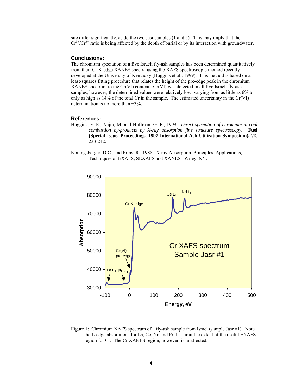site differ significantly, as do the two Jasr samples (1 and 5). This may imply that the  $Cr^{3+}/Cr^{6+}$  ratio is being affected by the depth of burial or by its interaction with groundwater.

## **Conclusions:**

The chromium speciation of a five Israeli fly-ash samples has been determined quantitatively from their Cr K-edge XANES spectra using the XAFS spectroscopic method recently developed at the University of Kentucky (Huggins et al., 1999). This method is based on a least-squares fitting procedure that relates the height of the pre-edge peak in the chromium XANES spectrum to the Cr(VI) content. Cr(VI) was detected in all five Israeli fly-ash samples, however, the determined values were relatively low, varying from as little as 6% to only as high as  $14\%$  of the total Cr in the sample. The estimated uncertainty in the Cr(VI) determination is no more than  $\pm 3\%$ .

#### **References:**

- Huggins, F. E., Najih, M. and Huffman, G. P., 1999. *Direct speciation of chromium in coal combustion by-products by X-ray absorption fine structure spectroscopy*. **Fuel (Special Issue, Proceedings, 1997 International Ash Utilization Symposium),** 78, 233-242.
- Koningsberger, D.C., and Prins, R., 1988. X-ray Absorption. Principles, Applications, Techniques of EXAFS, SEXAFS and XANES. Wiley, NY.



Figure 1: Chromium XAFS spectrum of a fly-ash sample from Israel (sample Jasr #1). Note the L-edge absorptions for La, Ce, Nd and Pr that limit the extent of the useful EXAFS region for Cr. The Cr XANES region, however, is unaffected.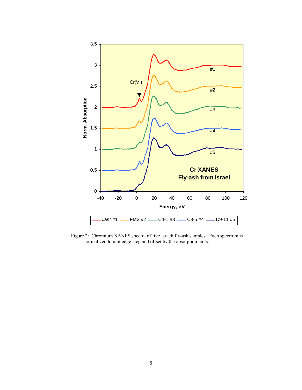

Figure 2: Chromium XANES spectra of five Israeli fly-ash samples. Each spectrum is normalized to unit edge-step and offset by 0.5 absorption units.